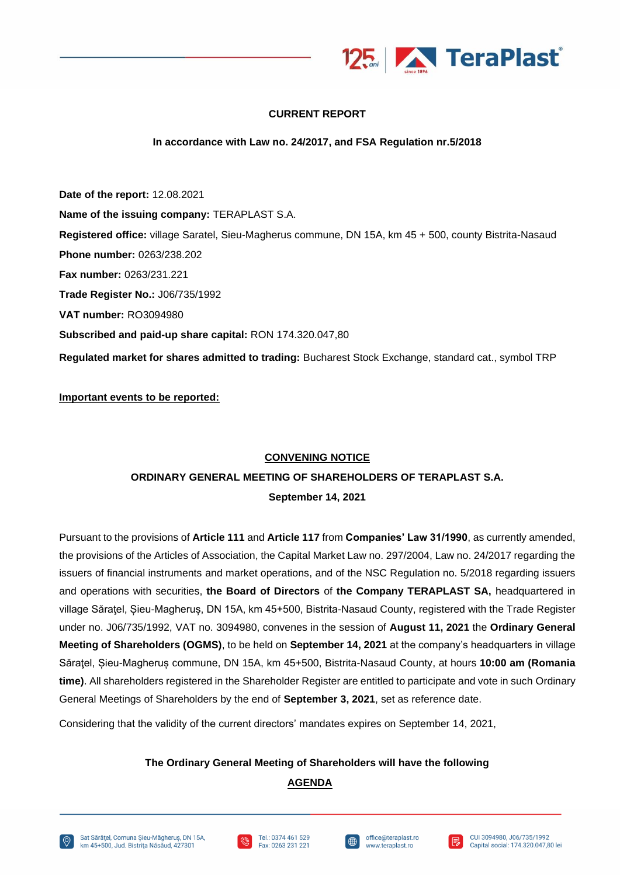

### **CURRENT REPORT**

#### **In accordance with Law no. 24/2017, and FSA Regulation nr.5/2018**

**Date of the report:** 12.08.2021 **Name of the issuing company:** TERAPLAST S.A. **Registered office:** village Saratel, Sieu-Magherus commune, DN 15A, km 45 + 500, county Bistrita-Nasaud **Phone number:** 0263/238.202 **Fax number:** 0263/231.221 **Trade Register No.:** J06/735/1992 **VAT number:** RO3094980 **Subscribed and paid-up share capital:** RON 174.320.047,80 **Regulated market for shares admitted to trading:** Bucharest Stock Exchange, standard cat., symbol TRP

**Important events to be reported:**

### **CONVENING NOTICE**

# **ORDINARY GENERAL MEETING OF SHAREHOLDERS OF TERAPLAST S.A. September 14, 2021**

Pursuant to the provisions of **Article 111** and **Article 117** from **Companies' Law 31/1990**, as currently amended, the provisions of the Articles of Association, the Capital Market Law no. 297/2004, Law no. 24/2017 regarding the issuers of financial instruments and market operations, and of the NSC Regulation no. 5/2018 regarding issuers and operations with securities, **the Board of Directors** of **the Company TERAPLAST SA,** headquartered in village Săraţel, Șieu-Magheruș, DN 15A, km 45+500, Bistrita-Nasaud County, registered with the Trade Register under no. J06/735/1992, VAT no. 3094980, convenes in the session of **August 11, 2021** the **Ordinary General Meeting of Shareholders (OGMS)**, to be held on **September 14, 2021** at the company's headquarters in village Săraţel, Șieu-Magheruș commune, DN 15A, km 45+500, Bistrita-Nasaud County, at hours **10:00 am (Romania time)**. All shareholders registered in the Shareholder Register are entitled to participate and vote in such Ordinary General Meetings of Shareholders by the end of **September 3, 2021**, set as reference date.

Considering that the validity of the current directors' mandates expires on September 14, 2021,

### **The Ordinary General Meeting of Shareholders will have the following**

## **AGENDA**







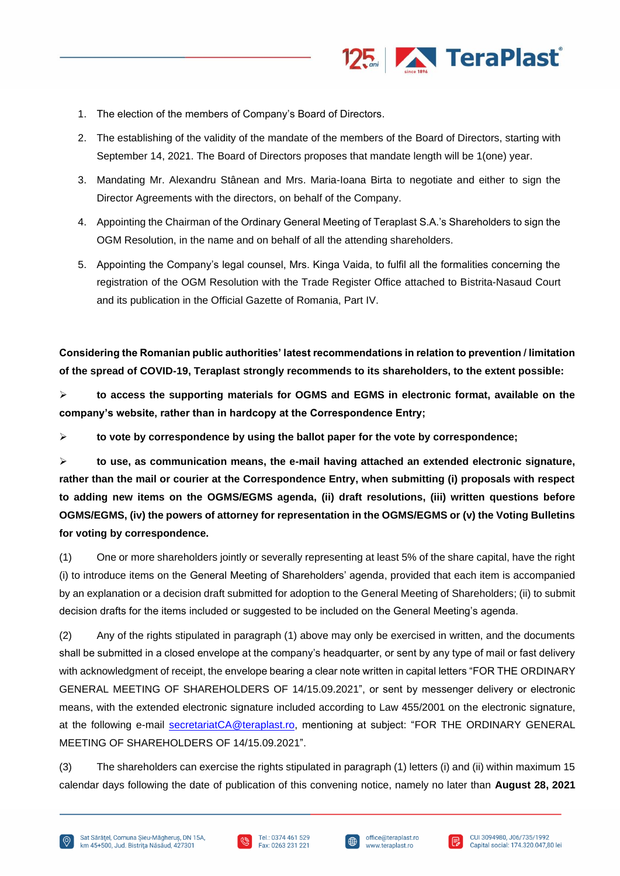

- 1. The election of the members of Company's Board of Directors.
- 2. The establishing of the validity of the mandate of the members of the Board of Directors, starting with September 14, 2021. The Board of Directors proposes that mandate length will be 1(one) year.
- 3. Mandating Mr. Alexandru Stânean and Mrs. Maria-Ioana Birta to negotiate and either to sign the Director Agreements with the directors, on behalf of the Company.
- 4. Appointing the Chairman of the Ordinary General Meeting of Teraplast S.A.'s Shareholders to sign the OGM Resolution, in the name and on behalf of all the attending shareholders.
- 5. Appointing the Company's legal counsel, Mrs. Kinga Vaida, to fulfil all the formalities concerning the registration of the OGM Resolution with the Trade Register Office attached to Bistrita-Nasaud Court and its publication in the Official Gazette of Romania, Part IV.

**Considering the Romanian public authorities' latest recommendations in relation to prevention / limitation of the spread of COVID-19, Teraplast strongly recommends to its shareholders, to the extent possible:**

➢ **to access the supporting materials for OGMS and EGMS in electronic format, available on the company's website, rather than in hardcopy at the Correspondence Entry;**

➢ **to vote by correspondence by using the ballot paper for the vote by correspondence;**

➢ **to use, as communication means, the e-mail having attached an extended electronic signature, rather than the mail or courier at the Correspondence Entry, when submitting (i) proposals with respect to adding new items on the OGMS/EGMS agenda, (ii) draft resolutions, (iii) written questions before OGMS/EGMS, (iv) the powers of attorney for representation in the OGMS/EGMS or (v) the Voting Bulletins for voting by correspondence.**

(1) One or more shareholders jointly or severally representing at least 5% of the share capital, have the right (i) to introduce items on the General Meeting of Shareholders' agenda, provided that each item is accompanied by an explanation or a decision draft submitted for adoption to the General Meeting of Shareholders; (ii) to submit decision drafts for the items included or suggested to be included on the General Meeting's agenda.

(2) Any of the rights stipulated in paragraph (1) above may only be exercised in written, and the documents shall be submitted in a closed envelope at the company's headquarter, or sent by any type of mail or fast delivery with acknowledgment of receipt, the envelope bearing a clear note written in capital letters "FOR THE ORDINARY GENERAL MEETING OF SHAREHOLDERS OF 14/15.09.2021", or sent by messenger delivery or electronic means, with the extended electronic signature included according to Law 455/2001 on the electronic signature, at the following e-mail [secretariatCA@teraplast.ro,](mailto:secretariatCA@teraplast.ro) mentioning at subject: "FOR THE ORDINARY GENERAL MEETING OF SHAREHOLDERS OF 14/15.09.2021".

(3) The shareholders can exercise the rights stipulated in paragraph (1) letters (i) and (ii) within maximum 15 calendar days following the date of publication of this convening notice, namely no later than **August 28, 2021**





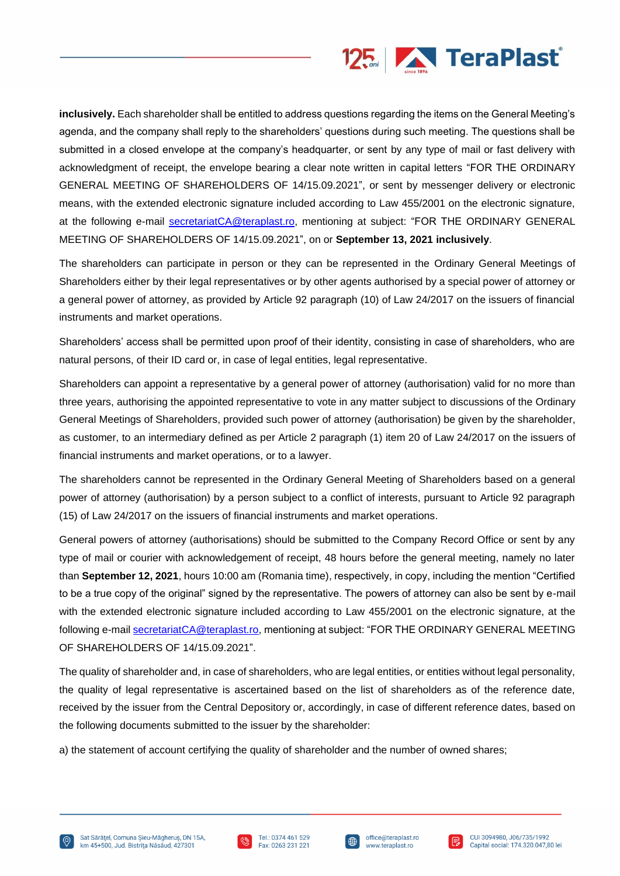

**inclusively.** Each shareholder shall be entitled to address questions regarding the items on the General Meeting's agenda, and the company shall reply to the shareholders' questions during such meeting. The questions shall be submitted in a closed envelope at the company's headquarter, or sent by any type of mail or fast delivery with acknowledgment of receipt, the envelope bearing a clear note written in capital letters "FOR THE ORDINARY GENERAL MEETING OF SHAREHOLDERS OF 14/15.09.2021", or sent by messenger delivery or electronic means, with the extended electronic signature included according to Law 455/2001 on the electronic signature, at the following e-mail [secretariatCA@teraplast.ro,](mailto:secretariatCA@teraplast.ro) mentioning at subject: "FOR THE ORDINARY GENERAL MEETING OF SHAREHOLDERS OF 14/15.09.2021", on or **September 13, 2021 inclusively**.

The shareholders can participate in person or they can be represented in the Ordinary General Meetings of Shareholders either by their legal representatives or by other agents authorised by a special power of attorney or a general power of attorney, as provided by Article 92 paragraph (10) of Law 24/2017 on the issuers of financial instruments and market operations.

Shareholders' access shall be permitted upon proof of their identity, consisting in case of shareholders, who are natural persons, of their ID card or, in case of legal entities, legal representative.

Shareholders can appoint a representative by a general power of attorney (authorisation) valid for no more than three years, authorising the appointed representative to vote in any matter subject to discussions of the Ordinary General Meetings of Shareholders, provided such power of attorney (authorisation) be given by the shareholder, as customer, to an intermediary defined as per Article 2 paragraph (1) item 20 of Law 24/2017 on the issuers of financial instruments and market operations, or to a lawyer.

The shareholders cannot be represented in the Ordinary General Meeting of Shareholders based on a general power of attorney (authorisation) by a person subject to a conflict of interests, pursuant to Article 92 paragraph (15) of Law 24/2017 on the issuers of financial instruments and market operations.

General powers of attorney (authorisations) should be submitted to the Company Record Office or sent by any type of mail or courier with acknowledgement of receipt, 48 hours before the general meeting, namely no later than **September 12, 2021**, hours 10:00 am (Romania time), respectively, in copy, including the mention "Certified to be a true copy of the original" signed by the representative. The powers of attorney can also be sent by e-mail with the extended electronic signature included according to Law 455/2001 on the electronic signature, at the following e-mail [secretariatCA@teraplast.ro,](mailto:secretariatCA@teraplast.ro) mentioning at subject: "FOR THE ORDINARY GENERAL MEETING OF SHAREHOLDERS OF 14/15.09.2021".

The quality of shareholder and, in case of shareholders, who are legal entities, or entities without legal personality, the quality of legal representative is ascertained based on the list of shareholders as of the reference date, received by the issuer from the Central Depository or, accordingly, in case of different reference dates, based on the following documents submitted to the issuer by the shareholder:

a) the statement of account certifying the quality of shareholder and the number of owned shares;





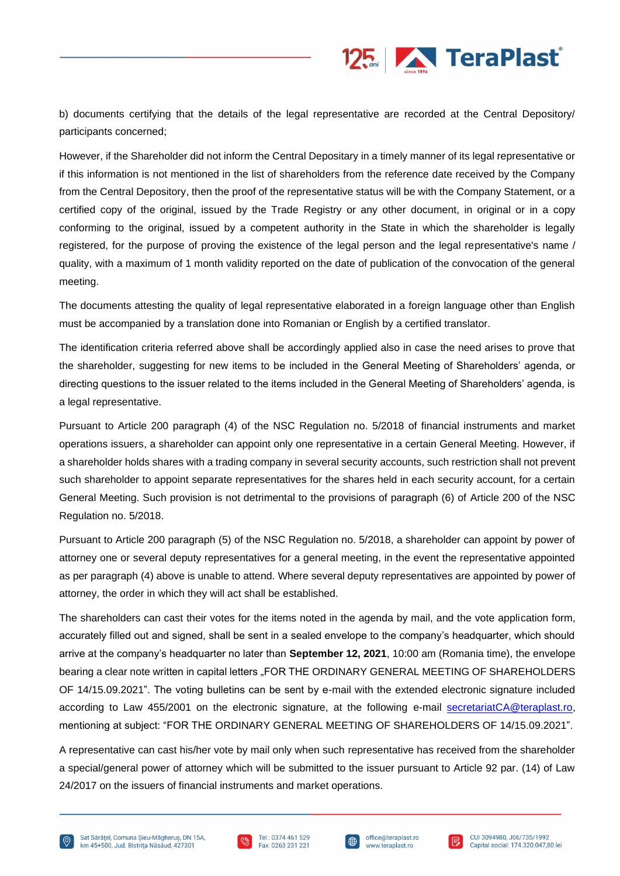

b) documents certifying that the details of the legal representative are recorded at the Central Depository/ participants concerned;

However, if the Shareholder did not inform the Central Depositary in a timely manner of its legal representative or if this information is not mentioned in the list of shareholders from the reference date received by the Company from the Central Depository, then the proof of the representative status will be with the Company Statement, or a certified copy of the original, issued by the Trade Registry or any other document, in original or in a copy conforming to the original, issued by a competent authority in the State in which the shareholder is legally registered, for the purpose of proving the existence of the legal person and the legal representative's name / quality, with a maximum of 1 month validity reported on the date of publication of the convocation of the general meeting.

The documents attesting the quality of legal representative elaborated in a foreign language other than English must be accompanied by a translation done into Romanian or English by a certified translator.

The identification criteria referred above shall be accordingly applied also in case the need arises to prove that the shareholder, suggesting for new items to be included in the General Meeting of Shareholders' agenda, or directing questions to the issuer related to the items included in the General Meeting of Shareholders' agenda, is a legal representative.

Pursuant to Article 200 paragraph (4) of the NSC Regulation no. 5/2018 of financial instruments and market operations issuers, a shareholder can appoint only one representative in a certain General Meeting. However, if a shareholder holds shares with a trading company in several security accounts, such restriction shall not prevent such shareholder to appoint separate representatives for the shares held in each security account, for a certain General Meeting. Such provision is not detrimental to the provisions of paragraph (6) of Article 200 of the NSC Regulation no. 5/2018.

Pursuant to Article 200 paragraph (5) of the NSC Regulation no. 5/2018, a shareholder can appoint by power of attorney one or several deputy representatives for a general meeting, in the event the representative appointed as per paragraph (4) above is unable to attend. Where several deputy representatives are appointed by power of attorney, the order in which they will act shall be established.

The shareholders can cast their votes for the items noted in the agenda by mail, and the vote application form, accurately filled out and signed, shall be sent in a sealed envelope to the company's headquarter, which should arrive at the company's headquarter no later than **September 12, 2021**, 10:00 am (Romania time), the envelope bearing a clear note written in capital letters "FOR THE ORDINARY GENERAL MEETING OF SHAREHOLDERS OF 14/15.09.2021". The voting bulletins can be sent by e-mail with the extended electronic signature included according to Law 455/2001 on the electronic signature, at the following e-mail [secretariatCA@teraplast.ro,](mailto:secretariatCA@teraplast.ro) mentioning at subject: "FOR THE ORDINARY GENERAL MEETING OF SHAREHOLDERS OF 14/15.09.2021".

A representative can cast his/her vote by mail only when such representative has received from the shareholder a special/general power of attorney which will be submitted to the issuer pursuant to Article 92 par. (14) of Law 24/2017 on the issuers of financial instruments and market operations.





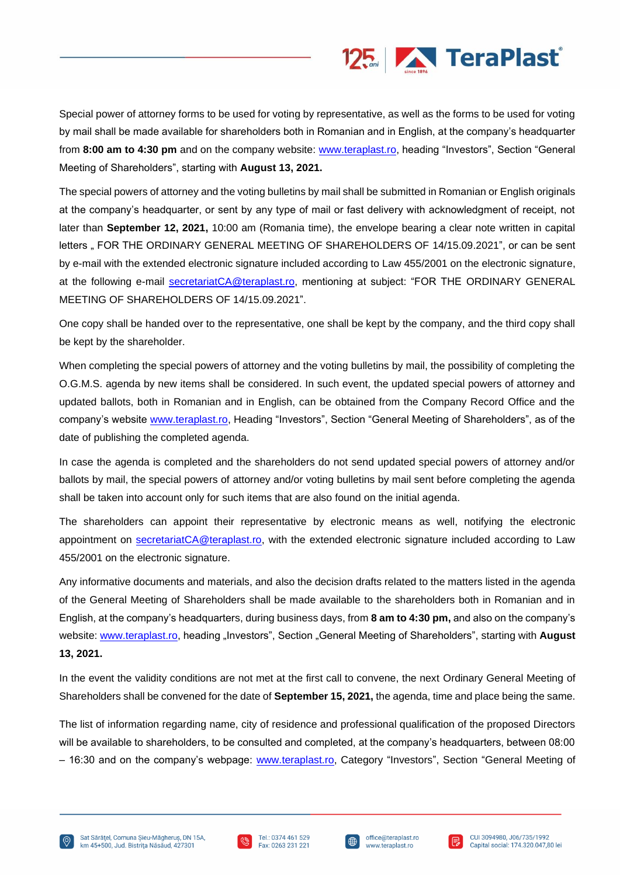

Special power of attorney forms to be used for voting by representative, as well as the forms to be used for voting by mail shall be made available for shareholders both in Romanian and in English, at the company's headquarter from **8:00 am to 4:30 pm** and on the company website: [www.teraplast.ro,](http://www.teraplast.ro/) heading "Investors", Section "General Meeting of Shareholders", starting with **August 13, 2021.**

The special powers of attorney and the voting bulletins by mail shall be submitted in Romanian or English originals at the company's headquarter, or sent by any type of mail or fast delivery with acknowledgment of receipt, not later than **September 12, 2021,** 10:00 am (Romania time), the envelope bearing a clear note written in capital letters " FOR THE ORDINARY GENERAL MEETING OF SHAREHOLDERS OF 14/15.09.2021", or can be sent by e-mail with the extended electronic signature included according to Law 455/2001 on the electronic signature, at the following e-mail [secretariatCA@teraplast.ro,](mailto:secretariatCA@teraplast.ro) mentioning at subject: "FOR THE ORDINARY GENERAL MEETING OF SHAREHOLDERS OF 14/15.09.2021".

One copy shall be handed over to the representative, one shall be kept by the company, and the third copy shall be kept by the shareholder.

When completing the special powers of attorney and the voting bulletins by mail, the possibility of completing the O.G.M.S. agenda by new items shall be considered. In such event, the updated special powers of attorney and updated ballots, both in Romanian and in English, can be obtained from the Company Record Office and the company's website [www.teraplast.ro,](http://www.teraplast.ro/) Heading "Investors", Section "General Meeting of Shareholders", as of the date of publishing the completed agenda.

In case the agenda is completed and the shareholders do not send updated special powers of attorney and/or ballots by mail, the special powers of attorney and/or voting bulletins by mail sent before completing the agenda shall be taken into account only for such items that are also found on the initial agenda.

The shareholders can appoint their representative by electronic means as well, notifying the electronic appointment on [secretariatCA@teraplast.ro,](mailto:secretariatCA@teraplast.ro) with the extended electronic signature included according to Law 455/2001 on the electronic signature.

Any informative documents and materials, and also the decision drafts related to the matters listed in the agenda of the General Meeting of Shareholders shall be made available to the shareholders both in Romanian and in English, at the company's headquarters, during business days, from **8 am to 4:30 pm,** and also on the company's website: [www.teraplast.ro,](http://www.teraplast.ro/) heading "Investors", Section "General Meeting of Shareholders", starting with **August 13, 2021.**

In the event the validity conditions are not met at the first call to convene, the next Ordinary General Meeting of Shareholders shall be convened for the date of **September 15, 2021,** the agenda, time and place being the same.

The list of information regarding name, city of residence and professional qualification of the proposed Directors will be available to shareholders, to be consulted and completed, at the company's headquarters, between 08:00 – 16:30 and on the company's webpage: [www.teraplast.ro,](http://www.teraplast.ro/) Category "Investors", Section "General Meeting of